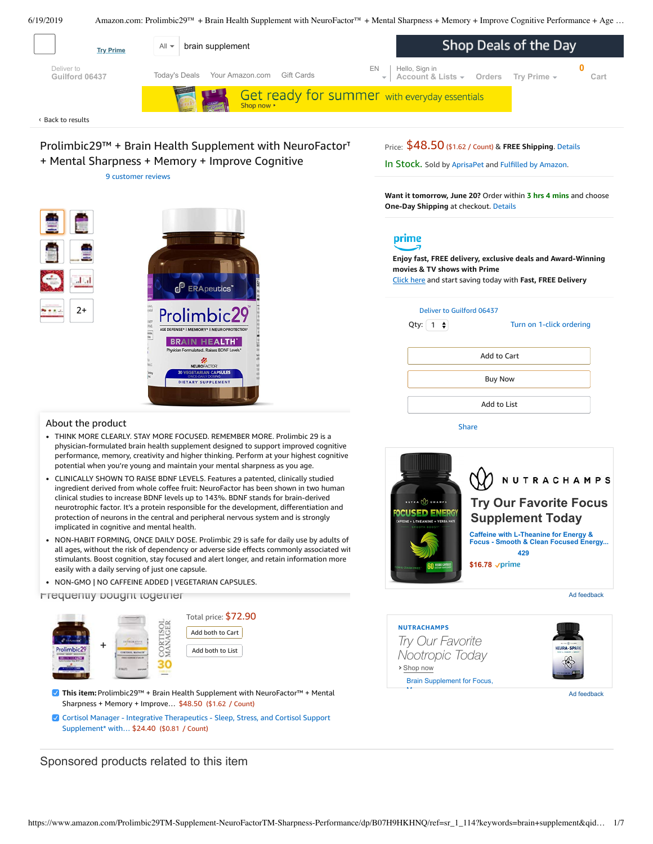6/19/2019 Amazon.com: Prolimbic29™ + Brain Health Supplement with NeuroFactor™ + Mental Sharpness + Memory + Improve Cognitive Performance + Age …

<span id="page-0-0"></span>

# + Mental Sharpness + Memory + Improve Cognitive

9 [customer](#page-3-0) reviews



# About the product

- THINK MORE CLEARLY. STAY MORE FOCUSED. REMEMBER MORE. Prolimbic 29 is a physician-formulated brain health supplement designed to support improved cognitive performance, memory, creativity and higher thinking. Perform at your highest cognitive potential when you're young and maintain your mental sharpness as you age.
- CLINICALLY SHOWN TO RAISE BDNF LEVELS. Features a patented, clinically studied ingredient derived from whole coffee fruit: NeuroFactor has been shown in two human clinical studies to increase BDNF levels up to 143%. BDNF stands for brain-derived neurotrophic factor. It's a protein responsible for the development, differentiation and protection of neurons in the central and peripheral nervous system and is strongly implicated in cognitive and mental health.
- NON-HABIT FORMING, ONCE DAILY DOSE. Prolimbic 29 is safe for daily use by adults of all ages, without the risk of [dependency](https://www.amazon.com/gp/redirect.html/ref=amb_link_1?_encoding=UTF8&location=https%3A%2F%2Fwww.amazon.com%2Fb%3Fnode%3D17904040011&source=standards&token=BE1FBDC111DBAC62750B07A4AFAFEF6D1A082253&pf_rd_m=ATVPDKIKX0DER&pf_rd_s=product-alert&pf_rd_r=NZMSF0EBDG9GG9FFJ4TZ&pf_rd_r=NZMSF0EBDG9GG9FFJ4TZ&pf_rd_t=201&pf_rd_p=daeb3cfd-e4e6-41c2-9f54-b460e6d1a06e&pf_rd_p=daeb3cfd-e4e6-41c2-9f54-b460e6d1a06e&pf_rd_i=B07H9HKHNQ) or adverse side effects commonly associated wit stimulants. Boost cognition, stay focused and alert longer, and retain information more easily with a daily serving of just one capsule.
- NON-GMO | NO CAFFEINE ADDED | VEGETARIAN CAPSULES.

#### Frequently bought together



- **This item:** Prolimbic29™ + Brain Health Supplement with NeuroFactor™ + Mental Sharpness + Memory + Improve… \$48.50 (\$1.62 / Count)
- Cortisol Manager Integrative Therapeutics Sleep, Stress, and Cortisol Support [Supplement\\*](https://www.amazon.com/Cortisol-Manager-Integrative-Therapeutics-Ashwagandha/dp/B002D2JYYG/ref=pd_bxgy_121_2/143-6729050-3493109?_encoding=UTF8&pd_rd_i=B002D2JYYG&pd_rd_r=72a2e8e8-92ac-11e9-ac33-33bfdc620b3a&pd_rd_w=g5qn2&pd_rd_wg=BUc3z&pf_rd_p=a2006322-0bc0-4db9-a08e-d168c18ce6f0&pf_rd_r=NZMSF0EBDG9GG9FFJ4TZ&psc=1&refRID=NZMSF0EBDG9GG9FFJ4TZ) with… \$24.40 (\$0.81 / Count)

## Sponsored products related to this item

In Stock. Sold by [AprisaPet](https://www.amazon.com/gp/help/seller/at-a-glance.html/ref=dp_merchant_link?ie=UTF8&seller=A12SZ4J2CNRGWI&isAmazonFulfilled=1) and Fulfilled by [Amazon.](https://www.amazon.com/gp/help/customer/display.html?ie=UTF8&ref=dp_fulfillment&nodeId=106096011)

**Want it tomorrow, June 20?** Order within **3 hrs 4 mins** and choose **One-Day Shipping** at checkout. [Details](https://www.amazon.com/gp/help/customer/display.html/ref=ftinfo_dp_?ie=UTF8&nodeId=3510241&pop-up=1)

# prime

**Enjoy fast, FREE delivery, exclusive deals and Award-Winning movies & TV shows with Prime**

Click here and start saving today with **Fast, FREE Delivery**

### Deliver to Guilford 06437

Qty:  $\begin{bmatrix} 1 \\ 2 \end{bmatrix}$ 

Turn on 1-click [ordering](https://www.amazon.com/gp/product/utility/edit-one-click-pref.html/ref=dp_oc_signin?ie=UTF8&query=&returnPath=%2Fgp%2Fproduct%2FB07H9HKHNQ)







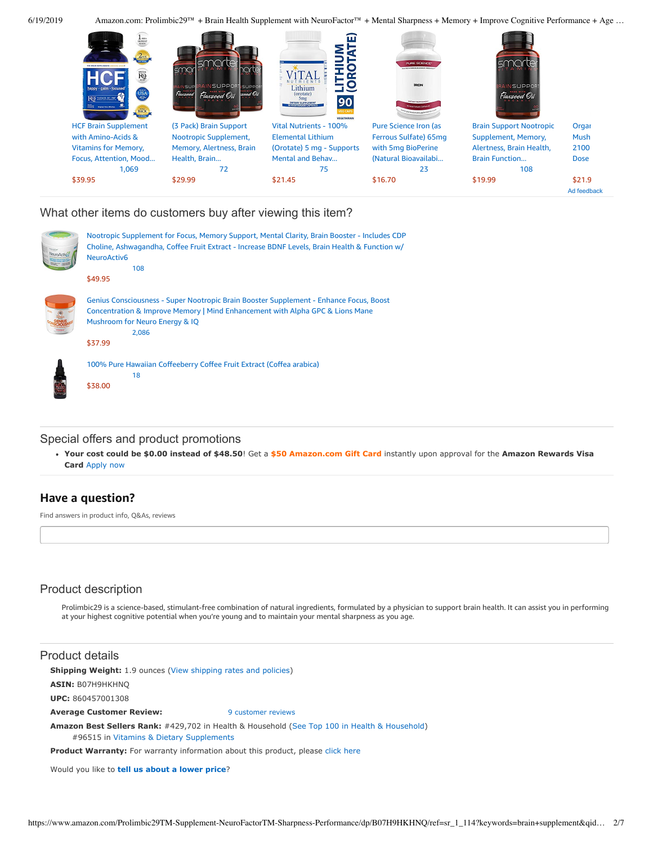6/19/2019 Amazon.com: Prolimbic29™ + Brain Health Supplement with NeuroFactor™ + Mental Sharpness + Memory + Improve Cognitive Performance + Age …



# What other items do customers buy after viewing this item?

| <b>NeuroActive</b> | Nootropic Supplement for Focus, Memory Support, Mental Clarity, Brain Booster - Includes CDP<br>Choline, Ashwagandha, Coffee Fruit Extract - Increase BDNF Levels, Brain Health & Function w/<br>NeuroActiv6<br>108<br>\$49.95 |
|--------------------|--------------------------------------------------------------------------------------------------------------------------------------------------------------------------------------------------------------------------------|
|                    | Genius Consciousness - Super Nootropic Brain Booster Supplement - Enhance Focus, Boost<br>Concentration & Improve Memory   Mind Enhancement with Alpha GPC & Lions Mane<br>Mushroom for Neuro Energy & IQ<br>2.086<br>\$37.99  |
|                    | 100% Pure Hawaiian Coffeeberry Coffee Fruit Extract (Coffea arabica)<br>18<br>\$38.00                                                                                                                                          |

# Special offers and product promotions

**[Your cost could be \\$0.00 instead of \\$48.50](https://www.amazon.com/gp/cobrandcard/marketing.html?pr=con321&inc=50gcUnrec&ts=9t6dk9lrw5dkbos6tpatsy8kl08hbhe&dasin=B07H9HKHNQ&plattr=math&place=detailpage&imp=b96b6496-8588-4a5f-ba17-dd911a116464)**! Get a **\$50 Amazon.com Gift Card** instantly upon approval for the **Amazon Rewards Visa Card** Apply now

# **Have a question?**

Find answers in product info, Q&As, reviews

# Product description

Prolimbic29 is a science-based, stimulant-free combination of natural ingredients, formulated by a physician to support brain health. It can assist you in performing at your highest cognitive potential when you're young and to maintain your mental sharpness as you age.

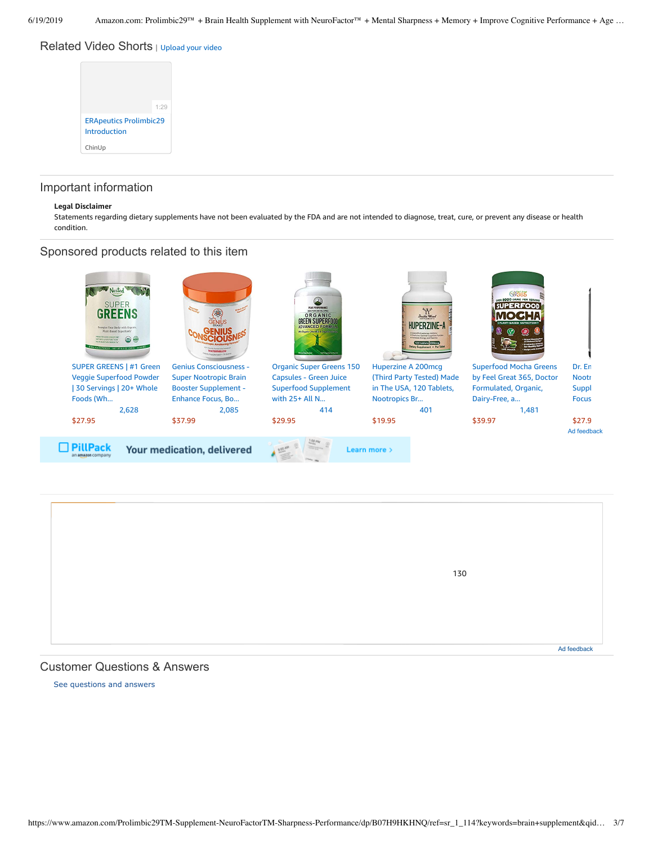# Related Video Shorts | [Upload](https://www.amazon.com/creatorhub/video/upload?productASIN=B07H9HKHNQ&referringURL=ZHAvQjA3SDlIS0hOUQ%3D%3D&ref=RVSW) your video

|                                               | 1:29 |
|-----------------------------------------------|------|
| <b>ERApeutics Prolimbic29</b><br>Introduction |      |
|                                               |      |
|                                               |      |

# Important information

#### **Legal Disclaimer**

Statements regarding dietary supplements have not been evaluated by the FDA and are not intended to diagnose, treat, cure, or prevent any disease or health condition.

# Sponsored products related to this item





# Customer Questions & Answers

[See questions and answers](https://www.amazon.com/ask/questions/asin/B07H9HKHNQ/ref=cm_cd_dp_lla_ql_ll)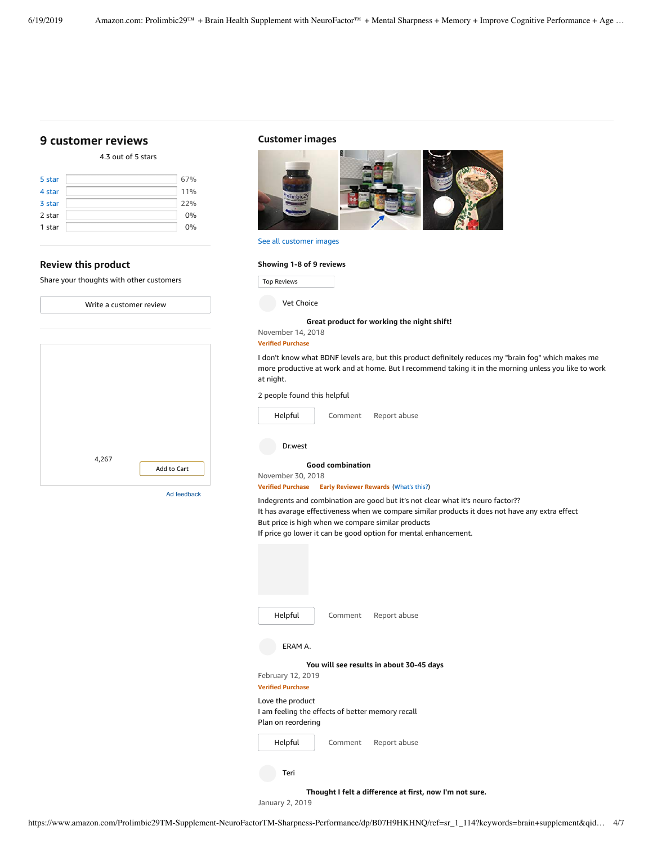# <span id="page-3-0"></span>**[9 customer](https://www.amazon.com/Prolimbic29TM-Supplement-NeuroFactorTM-Sharpness-Performance/product-reviews/B07H9HKHNQ/ref=cm_cr_dp_d_show_all_top?ie=UTF8&reviewerType=all_reviews) reviews**

4.3 out of 5 [stars](javascript:void(0))

| 5 star | 67% |
|--------|-----|
| 4 star | 11% |
| 3 star | 22% |
| 2 star | 0%  |
| 1 star | 0%  |
|        |     |

### **Review this product**

Share your thoughts with other customers

| Write a customer review | Vet Choice                                                                                                                                                                                                                 |
|-------------------------|----------------------------------------------------------------------------------------------------------------------------------------------------------------------------------------------------------------------------|
|                         | Great product for working the night shift!<br>November 14, 2018<br><b>Verified Purchase</b>                                                                                                                                |
|                         | I don't know what BDNF levels are, but this product definitely reduces my "brain fog" which makes me<br>more productive at work and at home. But I recommend taking it in the morning unless you like to work<br>at night. |
|                         | 2 people found this helpful                                                                                                                                                                                                |
|                         | Helpful<br>Report abuse<br>Comment                                                                                                                                                                                         |
|                         | Dr.west                                                                                                                                                                                                                    |
| 4,267<br>Add to Cart    | <b>Good combination</b>                                                                                                                                                                                                    |
|                         | November 30, 2018<br>Verified Purchase Early Reviewer Rewards (What's this?)                                                                                                                                               |
| Ad feedback             | Indegrents and combination are good but it's not clear what it's neuro factor??                                                                                                                                            |
|                         | It has avarage effectiveness when we compare similar products it does not have any extra effect                                                                                                                            |
|                         | But price is high when we compare similar products<br>If price go lower it can be good option for mental enhancement.                                                                                                      |
|                         |                                                                                                                                                                                                                            |
|                         |                                                                                                                                                                                                                            |
|                         |                                                                                                                                                                                                                            |
|                         |                                                                                                                                                                                                                            |
|                         |                                                                                                                                                                                                                            |
|                         | Helpful<br>Comment<br>Report abuse                                                                                                                                                                                         |
|                         |                                                                                                                                                                                                                            |
|                         | ERAM A.                                                                                                                                                                                                                    |
|                         | You will see results in about 30-45 days                                                                                                                                                                                   |
|                         | February 12, 2019                                                                                                                                                                                                          |
|                         | <b>Verified Purchase</b><br>Love the product                                                                                                                                                                               |
|                         | I am feeling the effects of better memory recall                                                                                                                                                                           |
|                         | Plan on reordering                                                                                                                                                                                                         |
|                         | Helpful<br>Report abuse<br>Comment                                                                                                                                                                                         |
|                         | Teri                                                                                                                                                                                                                       |

Top Reviews Top Reviews

See all customer images

**Showing 1-8 of 9 reviews**

**Customer images**

**Thought I felt a [difference](https://www.amazon.com/gp/customer-reviews/R2QY4XDQ26949/ref=cm_cr_dp_d_rvw_ttl?ie=UTF8&ASIN=B07H9HKHNQ) at first, now I'm not sure.**

January 2, 2019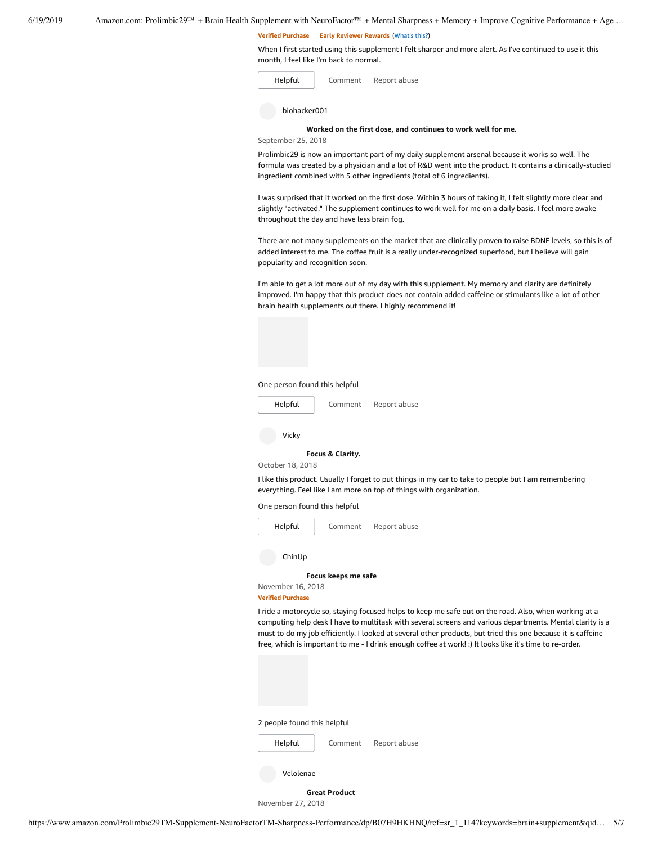#### **Verified Purchase Early Reviewer Rewards** ([What's](https://www.amazon.com/earlyreviewerprogram?ie=UTF8) this?)

When I first started using this supplement I felt sharper and more alert. As I've continued to use it this month, I feel like I'm back to normal.



#### **Worked on the first dose, and [continues](https://www.amazon.com/gp/customer-reviews/R10B6I7KHZV5Z7/ref=cm_cr_dp_d_rvw_ttl?ie=UTF8&ASIN=B07H9HKHNQ) to work well for me.**

September 25, 2018

Prolimbic29 is now an important part of my daily supplement arsenal because it works so well. The formula was created by a physician and a lot of R&D went into the product. It contains a clinically-studied ingredient combined with 5 other ingredients (total of 6 ingredients).

I was surprised that it worked on the first dose. Within 3 hours of taking it, I felt slightly more clear and slightly "activated." The supplement continues to work well for me on a daily basis. I feel more awake throughout the day and have less brain fog.

There are not many supplements on the market that are clinically proven to raise BDNF levels, so this is of added interest to me. The coffee fruit is a really under-recognized superfood, but I believe will gain popularity and recognition soon.

I'm able to get a lot more out of my day with this supplement. My memory and clarity are definitely improved. I'm happy that this product does not contain added caffeine or stimulants like a lot of other brain health supplements out there. I highly recommend it!

One person found this helpful



[Comment](https://www.amazon.com/gp/customer-reviews/R10B6I7KHZV5Z7/ref=cm_cr_dp_d_rvw_btm?ie=UTF8&ASIN=B07H9HKHNQ#wasThisHelpful) [Report](https://www.amazon.com/hz/reviews-render/report-abuse?ie=UTF8&voteDomain=Reviews&ref=cm_cr_dp_d_rvw_hlp&csrfT=gkU98eWgM8wCy2sy014sI3v%2BZNagQffXF%2FdbM9oAAAABAAAAAF0KXfByYXcAAAAA%2B4kUEk%2F7iMGR3xPcX6iU&entityId=R10B6I7KHZV5Z7&sessionId=143-6729050-3493109) abuse

Vicky

#### **Focus & [Clarity.](https://www.amazon.com/gp/customer-reviews/R130KBDM4BZ2HH/ref=cm_cr_dp_d_rvw_ttl?ie=UTF8&ASIN=B07H9HKHNQ)**

October 18, 2018

I like this product. Usually I forget to put things in my car to take to people but I am remembering everything. Feel like I am more on top of things with organization.

One person found this helpful

| Helpful | Comment             | Report abuse |
|---------|---------------------|--------------|
| ChinUp  | Feeus koops me safe |              |

#### **Focus [keeps](https://www.amazon.com/gp/customer-reviews/R2N6S92RRS4A30/ref=cm_cr_dp_d_rvw_ttl?ie=UTF8&ASIN=B07H9HKHNQ) me safe**

November 16, 2018 **Verified Purchase**

I ride a motorcycle so, staying focused helps to keep me safe out on the road. Also, when working at a computing help desk I have to multitask with several screens and various departments. Mental clarity is a must to do my job efficiently. I looked at several other products, but tried this one because it is caffeine free, which is important to me - I drink enough coffee at work! :) It looks like it's time to re-order.

2 people found this helpful

| Helpful   | Comment | Report abuse |
|-----------|---------|--------------|
| Velolenae |         |              |

**Great [Product](https://www.amazon.com/gp/customer-reviews/R30SX1S0L5J3HS/ref=cm_cr_dp_d_rvw_ttl?ie=UTF8&ASIN=B07H9HKHNQ)** November 27, 2018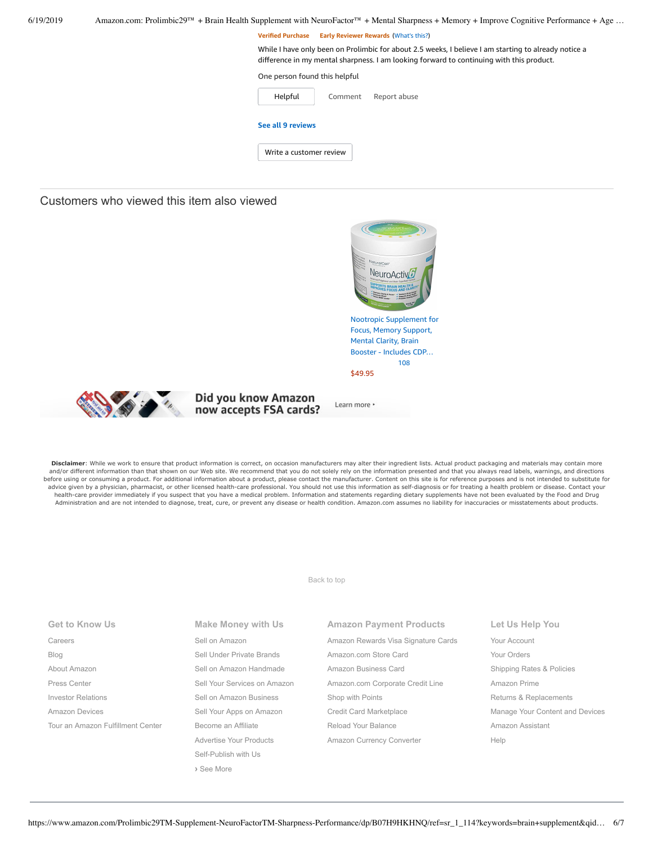| 6/19/2019 | Amazon.com: Prolimbic29 <sup>TM</sup> + Brain Health Supplement with NeuroFactor <sup>TM</sup> + Mental Sharpness + Memory + Improve Cognitive Performance + Age                                 |
|-----------|--------------------------------------------------------------------------------------------------------------------------------------------------------------------------------------------------|
|           | <b>Early Reviewer Rewards (What's this?)</b><br><b>Verified Purchase</b>                                                                                                                         |
|           | While I have only been on Prolimbic for about 2.5 weeks, I believe I am starting to already notice a<br>difference in my mental sharpness. I am looking forward to continuing with this product. |
|           | One person found this helpful                                                                                                                                                                    |
|           | Helpful<br>Report abuse<br>Comment                                                                                                                                                               |
|           | See all 9 reviews                                                                                                                                                                                |
|           | Write a customer review                                                                                                                                                                          |
|           |                                                                                                                                                                                                  |
|           |                                                                                                                                                                                                  |

# Customers who viewed this item also viewed



Mental Clarity, Brain CDP… [108](https://www.amazon.com/product-reviews/B071FHLT3Y/ref=pd_sbs_121_cr_1/143-6729050-3493109?ie=UTF8&pd_rd_i=B071FHLT3Y&pd_rd_r=72a2e8e8-92ac-11e9-ac33-33bfdc620b3a&pd_rd_w=4lMf0&pd_rd_wg=BUc3z&pf_rd_p=588939de-d3f8-42f1-a3d8-d556eae5797d&pf_rd_r=NZMSF0EBDG9GG9FFJ4TZ&refRID=NZMSF0EBDG9GG9FFJ4TZ)



# Did you know Amazon<br>now accepts FSA cards?

**›** [See More](https://www.amazon.com/b/?_encoding=UTF8&ld=AZUSSOA-seemore&node=18190131011&ref_=footer_seemore)

| <b>Nootropic Supplem</b>    |
|-----------------------------|
| <b>Focus, Memory Sup</b>    |
| <b>Mental Clarity, Brai</b> |
| <b>Booster - Includes</b>   |
| 108                         |
| \$49.95                     |
|                             |

Learn more \*

Disclaimer: While we work to ensure that product information is correct, on occasion manufacturers may alter their ingredient lists. Actual product packaging and materials may contain more and/or different information than that shown on our Web site. We recommend that you do not solely rely on the information presented and that you always read labels, warnings, and directions before using or consuming a product. For additional information about a product, please contact the manufacturer. Content on this site is for reference purposes and is not intended to substitute for advice given by a physician, pharmacist, or other licensed health-care professional. You should not use this information as self-diagnosis or for treating a health problem or disease. Contact your health-care provider immediately if you suspect that you have a medical problem. Information and statements regarding dietary supplements have not been evaluated by the Food and Drug Administration and are not intended to diagnose, treat, cure, or prevent any disease or health condition. Amazon.com assumes no liability for inaccuracies or misstatements about products.

#### [Back to top](#page-0-0)

| Get to Know Us                    | Make Money with Us           | <b>Amazon Payment Products</b>      | Let Us Help You                 |
|-----------------------------------|------------------------------|-------------------------------------|---------------------------------|
| Careers                           | Sell on Amazon               | Amazon Rewards Visa Signature Cards | Your Account                    |
| <b>Blog</b>                       | Sell Under Private Brands    | Amazon.com Store Card               | Your Orders                     |
| About Amazon                      | Sell on Amazon Handmade      | Amazon Business Card                | Shipping Rates & Policies       |
| Press Center                      | Sell Your Services on Amazon | Amazon.com Corporate Credit Line    | Amazon Prime                    |
| <b>Investor Relations</b>         | Sell on Amazon Business      | Shop with Points                    | Returns & Replacements          |
| Amazon Devices                    | Sell Your Apps on Amazon     | Credit Card Marketplace             | Manage Your Content and Devices |
| Tour an Amazon Fulfillment Center | Become an Affiliate          | Reload Your Balance                 | Amazon Assistant                |
|                                   | Advertise Your Products      | Amazon Currency Converter           | Help                            |
|                                   | Self-Publish with Us         |                                     |                                 |
|                                   |                              |                                     |                                 |